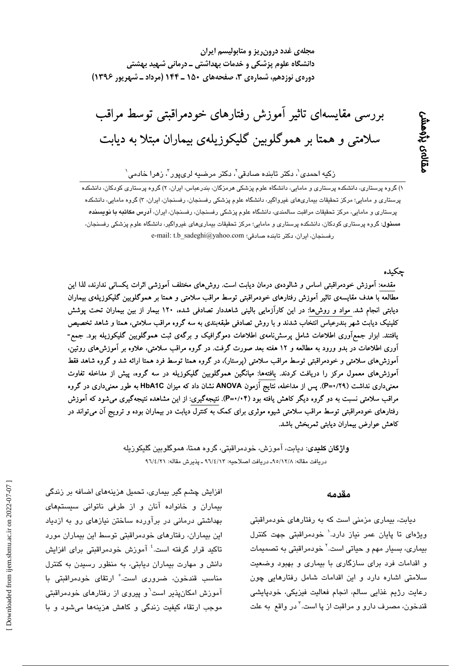مجلهی غدد درون ریز و متابولیسم ایران دانشگاه علوم پزشکی و خدمات بهداشتی ــ درمانی شهید بهشتی دورهی نوزدهم، شمارهی ۳، صفحههای ۱۵۰ ـ ۱۴۴ (مرداد ـ شهریور ۱۳۹۶)

بررسی مقایسمای تاثیر آموزش رفتارهای خودمراقبتی توسط مراقب سلامتی و همتا بر هموگلوبین گلیکوزیلهی بیماران مبتلا به دیابت

## ِرْكِيه احمد*ِي'، د*كتر تابِنده صادقی'، دكتر مرضيه لریپور'، زهرا خادمی'

۱) گروه پرستار*ی،* دانشکده پرستاری و مامایی، دانشگاه علوم یزشکی هرمزگان، بندرعباس، ایران، ۲) گروه پرستاری کودکان، دانشکده پرستاری و مامایی؛ مرکز تحقیقات بیماریهای غیرواگیر، دانشگاه علوم پزشکی رفسنجان، رفسنجان، ایران، ۳) گروه مامایی، دانشکده پرستاری و مامایی، مرکز تحقیقات مراقبت سالمندی، دانشگاه علوم پزشکی رفسنجان، رفسنجان، ایران، آدرس م**کاتبه با نویسنده** م**سئول**: گروه پرستاری کودکان، دانشکده پرستاری و مامایی؛ مرکز تحقیقات بیماریهای غیرواگیر، دانشگاه علوم پزشکی رفسنجان، e-mail: t.b\_sadeghi@yahoo.com (رفسنجان، ایران، دکتر تابنده صادقی

چكىدە

ىقالەى پڑەمش

مقدمه: آموزش خودمراقبتی اساس و شالودهی درمان دیابت است. روش۵های مختلف آموزشی اثرات یکسانی ندارند، لذا این مطالعه با هدف مقایسهی تاثیر آموزش رفتارهای خودمراقبتی توسط مراقب سلامتی و همتا بر هموگلوبین گلیکوزیلهی بیماران دیابتی انجام شد. مواد و روش۵ا: در این کارآزمایی بالینی شاهددار تصادفی شده، ۱۲۰ بیمار از بین بیماران تحت پوشش کلینیک دیابت شهر بندرعباس انتخاب شدند و با روش تصادفی طبقهبندی به سه گروه مراقب سلامتی، همتا و شاهد تخصیص یافتند. ابزار جمع|َوری اطلاعات شامل پرسشiامهی اطلاعات دموگرافیک و برگهی ثبت هموگلوبین گلیکوزیله بود. جمع-آوری اطلاعات در بدو ورود به مطالعه و ۱۲ هفته بعد صورت گرفت. در گروه مراقب سلامتی، علاوه بر آموزش۵ای روتین، آموزشهای سلامتی و خودمراقبتی توسط مراقب سلامتی (پرستار)، در گروه همتا توسط فرد همتا ارائه شد و گروه شاهد فقط آموزشهای معمول مرکز را دریافت کردند. یافتهها: میانگین هموگلوبین گلیکوزیله در سه گروه، پیش از مداخله تفاوت معنیداری نداشت (P=۰/۲۹). پس از مداخله، نتایج آزمون ANOVA نشان داد که میزان HbA1C به طور معنیداری در گروه مراقب سلامتی نسبت به دو گروه دیگر کاهش یافته بود (۴×/۰+P). نتیجهگیری: از این مشاهده نتیجهگیری میشود که آموزش رفتارهای خودمراقبتی توسط مراقب سلامتی شیوه موثری برای کمک به کنترل دیابت در بیماران بوده و ترویج آن میتواند در کاهش عوارض بیماران دیابتی ثمربخش باشد.

> واژگان کلیدی: دیایت، آموزش، خودمراقیتی، گروه همتا، هموگلویین گلیکوزیله دريافت مقاله: ٩٥/١٢/٨- دريافت اصلاحيه: ٩٦/٤/١٣ ـ يذيرش مقاله: ٩٦/٤/٢١

#### مقدمه

دیابت، بیماری مزمنی است که به رفتارهای خودمراقبتی ویژهای تا پایان عمر نیاز دارد.` خودمراقبتی جهت کنترل بیمار*ی،* بسیار مهم و حیاتی است.<sup>۲</sup> خودمراقبتی به تصمیمات و اقدامات فرد برای سازگاری با بیماری و بهبود وضعیت سلامتی اشاره دارد و این اقدامات شامل رفتارهایی چون رعایت رژیم غذایی سالم، انجام فعالیت فیزیکی، خودپایشی قندخون، مصرف دارو و مراقبت از پا است.<sup>۳</sup> در واقع به علت

افزایش چشم گیر بیماری، تحمیل هزینههای اضافه بر زندگی بیماران و خانواده آنان و از طرفی ناتوانی سیستمهای بهداشتی درمانی در برآورده ساختن نیازهای رو به ازدیاد این بیماران، رفتارهای خودمراقبتی توسط این بیماران مورد تاکید قرار گرفته است.<sup>؛</sup> آموزش خودمراقیتی برای افزایش دانش و مهارت بیماران دیابتی، به منظور رسیدن به کنترل مناسب قندخون، ضروری است. ٔ ارتقای خودمراقبتی با آموزش امکان پذیر است<sup>7</sup>و پیروی از رفتارهای خودمراقبتی موجب ارتقاء کيفيت زندگي و کاهش هزينهها مي شود و با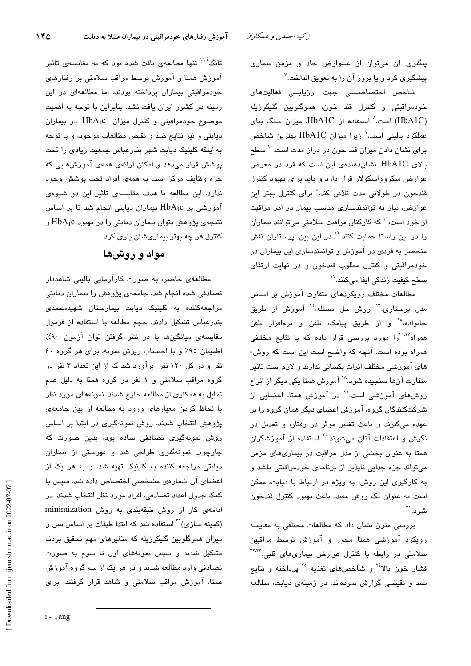پیگیری آن میتوان از عــوارض حاد و مزمن بیماری پیشگیری کرد و یا بروز آن را به تعویق انداخت.<sup>۷</sup>

شاخص اختصاصـــی جهت ارزیابــی فعالیتهای خودمراقبتی و کنترل قند خون، هموگلوبین گلیکوزیله (HbA1C) است.^ استفاده از HbA1C، میزان سنگ بنای عملکرد پالینی است،<sup>۹</sup> زیرا میزان HbA1C پهترین شاخص برای نشان دادن میزان قند خون در دراز مدت است. `` سطح بالای HbA1C، نشاندهندهی این است که فرد در معرض عوارض میکروواسکولار قرار دارد و باید برای بهبود کنترل قندخون در طولانی مدت تلاش کند.<sup>۸</sup> برای کنترل بهتر این عوارض، نیاز به توانمندسازی مناسب بیمار در امر مراقبت از خود است،<sup>۱۰</sup> که کارکنان مراقبت سلامتی میتوانند بیماران را در این راستا حمایت کنند.<sup>۱۲</sup> در این بین، پرستاران نقش منحصر به فردی در آموزش و توانمندسازی این بیماران در خودمراقبتی و کنترل مطلوب قندخون و در نهایت ارتقای سطح کیفیت زندگی ایفا میکنند.''

مطالعات مختلف رویکردهای متفاوت آموزش بر اساس مدل پرستاری،" روش حل مسئله،<sup>،</sup>'' آموزش از طریق خانواده،°<sup>۱</sup> و از طریق پیامک، تلفن و نرم|فزار تلفن همراه<sup>۱٬۱۰۷</sup>را مورد بررسی قرار داده که با نتایج مختلفی همراه بوده است. آنچه که واضح است این است که روش-های آموزشی مختلف اثرات یکسانی ندارند و لازم است تاثیر متفاوت آنها سنجیده شود.^` آموزش همتا یکی دیگر از انواع روشهای آموزشی است.<sup>۱۹</sup> در آموزش همتا، اعضایی از شرکتکنندگان گروه، آموزش اعضای دیگر همان گروه را بر عهده میگیرند و باعث تغییر موثر در رفتار، و تعدیل در نگرش و اعتقادات آنان می شوند. <sup>۲۰</sup> استفاده از آموزشگران همتا به عنوان بخشی از مدل مراقبت در بیماریهای مزمن می تواند جزء جدایی ناپذیر از برنامهی خودمراقبتی باشد و به کارگیری این روش، به ویژه در ارتباط با دیابت، ممکن است به عنوان یک روش مفید، باعث بهبود کنترل قندخون شە د. ``

بررسی متون نشان داد که مطالعات مختلفی به مقایسه رویکرد آموزشی همتا محور و آموزش توسط مراقبین سلامتی در رابطه با کنترل عوارض بیماریهای قلبی، <sup>۲۲٬۲۲</sup> فشار خون بالا<sup>۲۶</sup> و شاخصهای تغذیه <sup>۲۰</sup> پرداخته و نتایج ضد و نقیضی گزارش نمودهاند. در زمینهی دیابت، مطالعه

تانگ<sup>۲۱</sup> تنها مطالعهی یافت شده بود که به مقایسهی تاثیر آموزش همتا و آموزش توسط مراقب سلامتی بر رفتارهای خودمراقبتی بیماران پرداخته بودند، اما مطالعهای در این زمینه در کشور ایران یافت نشد. بنابراین با توجه به اهمیت موضوع خودمراقبتی و کنترل میزان HbA1c در بیماران ديابتي و نيز نتايج ضد و نقيض مطالعات موجود، و با توجه به اینکه کلینیک دیابت شهر بندرعباس جمعیت زیادی را تحت پوشش قرار میدهد و امکان ارائهی همهی آموزشهایی که جزء وظائف مرکز است به همهی افراد تحت پوشش وجود ندارد، این مطالعه با هدف مقایسهی تاثیر این دو شیوهی آموزشی بر HbA1c بیماران دیابتی انجام شد تا بر اساس نتيجهي پژوهش بتوان بيماران ديابتي را در بهبود HbA1c و کنترل هر چه بهتر بیماریشان یاری کرد.

# مواد و روشها

مطالعهی حاضر، به صورت کارآزمایی بالینی شاهددار تصادفی شده انجام شد. جامعهی پژوهش را بیماران دیابتی مراجعهکننده به کلینیک دیابت بیمارستان شهیدمحمدی بندرعباس تشكيل دادند. حجم مطالعه با استفاده از فرمول مقایسهی میانگینها با در نظر گرفتن توان آزمون ۹۰٪، اطمينان ٩٥٪ و با احتساب ريزش نمونه، براى هر گروه ٤٠ نفر و در کل ۱۲۰ نفر برآورد شد که از این تعداد ۳ نفر در گروه مراقب سلامتی و ۱ نفر در گروه همتا به دلیل عدم تمایل به همکاری از مطالعه خارج شدند. نمونههای مورد نظر با لحاظ کردن معیارهای ورود به مطالعه از بین جامعهی پژوهش انتخاب شدند. روش نمونهگیری در ابتدا بر اساس روش نمونهگیری تصادفی ساده بود، بدین صورت که چارچوب نمونهگیری طراحی شد و فهرستی از بیماران دیابتی مراجعه کننده به کلینیک تهیه شد، و به هر یک از اعضای آن شمارهی مشخصی اختصاص داده شد. سپس با کمک جدول اعداد تصادفی، افراد مورد نظر انتخاب شدند. در ادامهی کار از روش طبقهبندی به روش minimization (کمینه سازی)<sup>۲۰</sup> استفاده شد که ابتدا طبقات بر اساس سن و میزان هموگلوبین گلیکوزیله که متغیرهای مهم تحقیق بودند تشکیل شدند و سپس نمونههای اول تا سوم به صورت تصادفی وارد مطالعه شدند و در هر یک از سه گروه آموزش همتا، آموزش مراقب سلامتی و شاهد قرار گرفتند. برای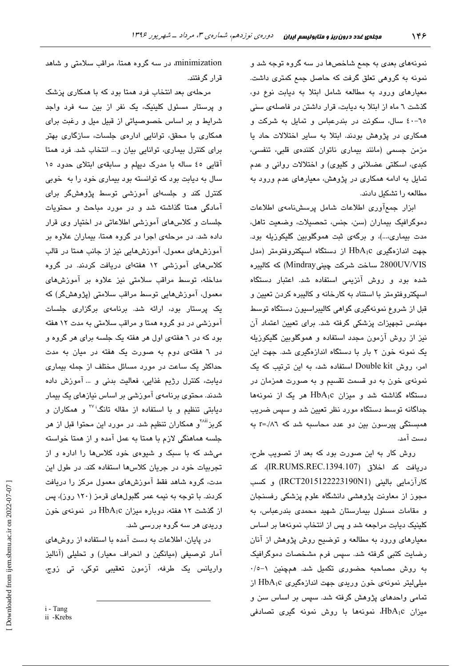نمونههای بعدی به جمع شاخصها در سه گروه توجه شد و نمونه به گروهی تعلق گرفت که حاصل جمع کمتری داشت. معیارهای ورود به مطالعه شامل ابتلا به دیابت نوع دو، گذشت ٦ ماه از ابتلا به دیابت، قرار داشتن در فاصلهی سنی ٦٥-٤٠ سال، سكونت در بندرعباس و تمايل به شركت و همکاری در پژوهش بودند. ابتلا به سایر اختلالات حاد یا مزمن جسمی (مانند بیماری ناتوان کنندهی قلبی، تنفسی، کبدی، اسکلتی عضلانی و کلیوی) و اختلالات روانی و عدم تمایل به ادامه همکاری در پژوهش، معبارهای عدم ورود به مطالعه را تشكيل دادند.

ابزار جمع آوري اطلاعات شامل پرسشنامهي اطلاعات دموگرافیک بیماران (سن، جنس، تحصیلات، وضعیت تاهل، مدت بیماری،...)، و برگهی ثبت هموگلوبین گلیکوزیله بود. جهت اندازهگیری HbA1c از دستگاه اسپکتروفتومتر (مدل 2800UV/VIS ساخت شركت چينى Mindray) كه كالبيره شده بود و روش آنزیمی استفاده شد. اعتبار دستگاه اسپکتروفتومتر با استناد به کارخانه و کالیبره کردن تعیین و قبل از شروع نمونهگیری گواهی کالیبراسیون دستگاه توسط مهندس تجهیزات پزشکی گرفته شد. برای تعیین اعتماد آن نیز از روش آزمون مجدد استفاده و هموگلوبین گلیکوزیله یک نمونه خون ۲ بار با دستگاه اندازهگیری شد. جهت این امر، روش Double kit استفاده شد، به این ترتیب که یک نمونهی خون به دو قسمت تقسیم و به صورت همزمان در دستگاه گذاشته شد و میزان HbA1c هر یک از نمونهها جداگانه توسط دستگاه مورد نظر تعیین شد و سپس ضریب همبستگی پیرسون بین دو عدد محاسبه شد که r=./۸٦ به دست آمد.

روش کار به این صورت بود که بعد از تصویب طرح، دريافت كد اخلاق (IR.RUMS.REC.1394.107)، كد كارآزمايي باليني (IRCT2015122223190N1) و كسب مجوز از معاونت پژوهشی دانشگاه علوم پزشکی رفسنجان و مقامات مسئول بیمارستان شهید محمدی بندرعباس، به کلینیک دیابت مراجعه شد و پس از انتخاب نمونهها بر اساس معیارهای ورود به مطالعه و توضیح روش پژوهش از آنان رضایت کتبی گرفته شد. سپس فرم مشخصات دموگرافیک به روش مصاحبه حضوری تکمیل شد. همچنین ۱−۰/۰ میلی لیتر نمونهی خون وریدی جهت اندازهگیری HbA<sub>1</sub>c از تمامی واحدهای پژوهش گرفته شد. سپس بر اساس سن و میزان HbA1c، نمونهها با روش نمونه گیری تصادفی

minimization، در سه گروه همتا، مراقب سلامتی و شاهد قرار گرفتند.

مرحلهی بعد انتخاب فرد همتا بود که با همکاری پزشک و پرستار مسئول کلینیک، یک نفر از بین سه فرد واجد شرایط و بر اساس خصوصیاتی از قبیل میل و رغبت برای همکاری یا محقق، توانایی ادارهی جلسات، سازگاری پهتر برای کنترل بیماری، توانایی بیان و... انتخاب شد. فرد همتا آقایی ٤٥ ساله با مدرک دیپلم و سابقهی ابتلای حدود ١٥ سال به دیابت بود که توانسته بود بیماری خود را به خوبی کنترل کند و جلسهای آموزشی توسط پژوهشگر برای آمادگی همتا گذاشته شد و در مورد مباحث و محتویات جلسات و کلاس های آموزشی اطلاعاتی در اختیار وی قرار داده شد. در مرحلهی اجرا در گروه همتا، بیماران علاوه بر آموزشهای معمول، آموزشهایی نیز از جانب همتا در قالب کلاس های آموزشی ۱۲ هفتهای دریافت کردند. در گروه مداخله، توسط مراقب سلامتی نیز علاوه بر آموزشهای معمول، آموزشهایی توسط مراقب سلامتی (پژوهشگر) که یک پرستار بود، ارائه شد. برنامهی برگزاری جلسات آموزشی در دو گروه همتا و مراقب سلامتی به مدت ۱۲ هفته بود که در ٦ هفتهی اول هر هفته یک جلسه برای هر گروه و در ٦ هفتهی دوم به صورت یک هفته در میان به مدت حداکثر یک ساعت در مورد مسائل مختلف از جمله بیماری ديابت، كنترل رژيم غذايى، فعاليت بدنى و … آموزش داده شدند. محتوی برنامهی آموزشی بر اساس نیازهای یک بیمار دیابتی تنظیم و با استفاده از مقاله تانگ<sup>ن۷۲</sup> و همکاران و کربز<sup>ان۸</sup> و همکاران تنظیم شد. در مورد این محتوا قبل از هر جلسه هماهنگی لازم با همتا به عمل آمده و از همتا خواسته میشد که با سبک و شیوهی خود کلاس ها را اداره و از تجربیات خود در جریان کلاسها استفاده کند. در طول این مدت، گروه شاهد فقط آموزشهای معمول مرکز را دریافت کردند. با توجه به نیمه عمر گلبولهای قرمز (۱۲۰ روز)، پس از گذشت ١٢ هفته، دوباره ميزان HbA1c در نمونهى خون وریدی هر سه گروه بررسی شد.

در پایان، اطلاعات به دست آمده با استفاده از روشهای آمار توصيفي (ميانگين و انحراف معيار) و تحليلي (آناليز واریانس یک طرفه، آزمون تعقیبی توکی، تی زوج،

i - Tang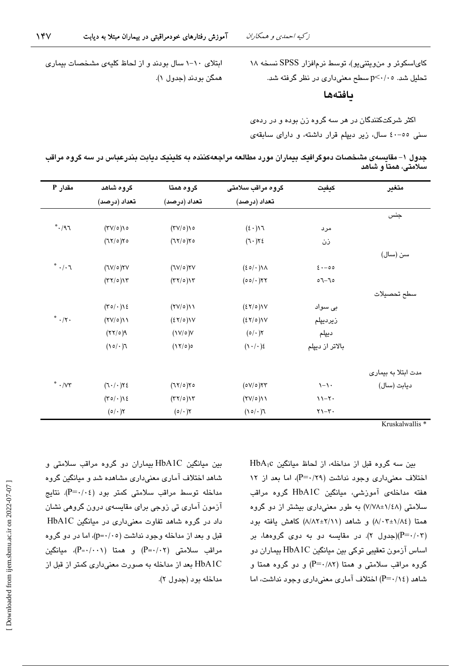همگن بودند (جدول ۱).

ابتلای ۱۰-۱ سال بودند و از لحاظ کلیهی مشخصات بیماری

کای اسکوئر و من ویتنی یو)، توسط نرم افزار SPSS نسخه ۱۸ تحلیل شد. p<۰/۰٥ سطح معنیداری در نظر گرفته شد.

بافتهها

اکثر شرکتکنندگان در هر سه گروه زن بوده و در ردهی سنی ٥٥-٤٠ سال، زير ديپلم قرار داشته، و دارای سابقهی

جدول ۱– مقایسهی مشخصات دموگرافیک بیماران مورد مطالعه مراجعهکننده به کلینیک دیابت بندرعباس در سه گروه مراقب سلامتی، همتاً و شاهد

| مقدار P                             | گروه شاهد                             | گروه همتا              | گروه مراقب سلامتی                      | كيفيت                                  | متغير               |
|-------------------------------------|---------------------------------------|------------------------|----------------------------------------|----------------------------------------|---------------------|
|                                     | تعداد (درصد)                          | تعداد (درصد)           | تعداد (درصد)                           |                                        |                     |
|                                     |                                       |                        |                                        |                                        | جنس                 |
| $\mathcal{F}\wedge\cdot^*$          | $(TV/\circ)$ ) $\circ$                | $(TV/\circ)$ ) $\circ$ | $(2 \cdot)$                            | مرد                                    |                     |
|                                     | (75/0)                                | (75/2)                 | (7.7)                                  | زن                                     |                     |
|                                     |                                       |                        |                                        |                                        | سن (سال)            |
| $\mathcal{F}\cdot\backslash\cdot$ * | $(TV/\circ)YV$                        | $(TV/\circ)YV$         | $(20/\cdot)$                           | $2 \cdot -00$                          |                     |
|                                     | $(TY/\circ)Y$                         | $(TY/\circ)YY$         | $(00/\cdot)$ ٢٢                        | $\circ$ $\mathcal{F}-\mathcal{F}\circ$ |                     |
|                                     |                                       |                        |                                        |                                        | سطح تحصيلات         |
|                                     | $(\tau \circ / \cdot) \circ \epsilon$ | (YV/O)                 | (27/0)                                 | بی سواد                                |                     |
| $^*$ $\cdot$ /۲ $\cdot$             | (YV/O)                                | (25/0)                 | (25/0)                                 | زيرديپلم                               |                     |
|                                     | $P(\circ   Y)$                        | $(\frac{1}{\sqrt{2}})$ | $(0/\cdot)$ ٢                          | ديپلم                                  |                     |
|                                     | $\Gamma(\cdot \setminus \circ \ell)$  | (17/0)                 | (1.4)                                  | بالاتر از دیپلم                        |                     |
|                                     |                                       |                        |                                        |                                        | مدت ابتلا به بیماری |
| $^*$ $\cdot$ /V۳                    | (7.7)                                 | (75/2)                 | (0V/0)                                 | $\backslash - \backslash$ .            | ديابت (سال)         |
|                                     | $(\tau \circ / \cdot) \circ \epsilon$ | $(TY \circ)YY$         | (YV/O)                                 | $11 - 7$                               |                     |
|                                     | $(0/\cdot)$ ٢                         | $(0/\cdot)$ ٢          | $\Gamma(\cdot \setminus \circ \wedge)$ | $Y - Y$                                |                     |

Kruskalwallis<sup>\*</sup>

بين سه گروه قبل از مداخله، از لحاظ ميانگين HbA1c اختلاف معنى دارى وجود نداشت (P=٠/٢٩)، اما بعد از ١٢ هفته مداخلهی آموزشی، میانگین HbA1C گروه مراقب سلامتی (۱/٤٨±٧/٧٨) به طور معنی،داری بیشتر از دو گروه همتا (٨/٠٢±١/٨٤) و شاهد (٢/١١+١٨/٤) كاهش يافته بود (P=۰/۰۳)(جدول ۲). در مقایسه دو به دوی گروهها، بر اساس آزمون تعقیبی توکی بین میانگین HbA1C بیماران دو گروه مراقب سلامتی و همتا (P=۰/۸۲) و دو گروه همتا و شاهد (P=۰/۱٤) اختلاف آماری معنیداری وجود نداشت، اما

بين ميانگين HbA1C بيماران دو گروه مراقب سلامتى و شاهد اختلاف آماری معنیداری مشاهده شد و میانگین گروه مداخله توسط مراقب سلامتی کمتر بود (P=۰/۰٤). نتایج آزمون آماری تی زوجی برای مقایسهی درون گروهی نشان داد در گروه شاهد تفاوت معنیداری در میانگین HbA1C قبل و بعد از مداخله وجود نداشت (p=٠/٠٥)، اما در دو گروه  $(P = \cdot / \cdot \cdot)$ ) میانگین (P= $\cdot / \cdot \cdot$ ) میانگین HbA1C بعد از مداخله به صورت معنیداری کمتر از قبل از مداخله بود (جدول ٢).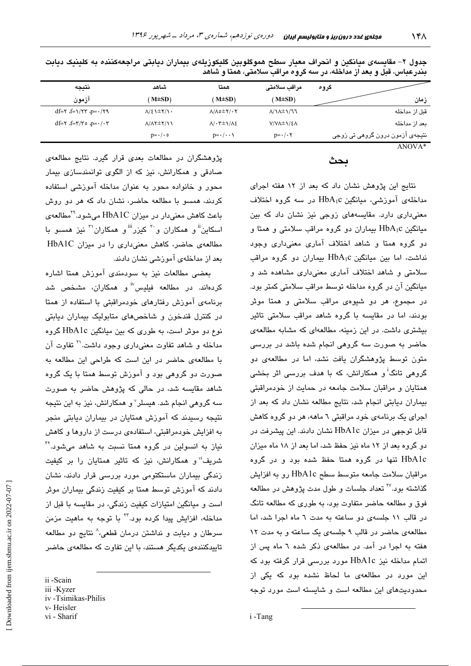| گروه                            | مراقب سلامتى                          | همتا                                                    | شاهد                                   | نتيجه                                                                          |
|---------------------------------|---------------------------------------|---------------------------------------------------------|----------------------------------------|--------------------------------------------------------------------------------|
| زمان                            | $M\pm SD$                             | $M\pm SD$                                               | $M\pm SD$ )                            | ازمون                                                                          |
| قىل از مداخله                   | $\Lambda/\Lambda \pm \Lambda/\Lambda$ | $\Lambda/\Lambda$ $\triangleq$ $\Upsilon/\cdot\Upsilon$ | $\Lambda/\epsilon$ \ $\pm$ Y/\ $\cdot$ | $df = \frac{f}{f}$ $f = \frac{1}{f} \frac{f}{f}$ $f = \frac{1}{f} \frac{f}{f}$ |
| يعد از مداخله                   | V/VA±\/٤A                             | $\Lambda/\cdot$ ۳ $\pm \Lambda/\Lambda$ ٤               | $\Lambda/\Lambda$ Y $\pm$ Y $/$        | $df = \tau \cdot f = \tau / \tau \circ \rho = \cdot / \cdot \tau$              |
| نٽيجهي آزمون درون گروهي تي زوجي | $p = \cdot / \cdot \tau$              | $p = \cdot / \cdot \cdot \cdot$                         | $p = \cdot / \cdot \circ$              |                                                                                |

جدول ۲- مقایسهی میانگین و انحراف معیار سطح هموگلوبین گلیکوزیلهی بیماران دیابتی مراجعهکننده به کلینیک دیابت بندرعباس، قبل و بعد از مداخله، در سه گروه مراقب سلامتی، همتا و شاهد

ANOVA\*

## ىحث

نتایج این پژوهش نشان داد که بعد از ۱۲ هفته اجرای مداخلهی آموزشی، میانگین HbA1c در سه گروه اختلاف معنیداری دارد. مقایسههای زوجی نیز نشان داد که بین میانگین HbA<sub>1</sub>c بیماران دو گروه مراقب سلامتی و همتا و دو گروه همتا و شاهد اختلاف آماری معنیداری وجود نداشت، اما بین میانگین HbA1c بیماران دو گروه مراقب سلامتی و شاهد اختلاف آماری معنیداری مشاهده شد و میانگین آن در گروه مداخله توسط مراقب سلامتی کمتر بود. در مجموع، هر دو شیوهی مراقب سلامتی و همتا موثر بودند، اما در مقایسه با گروه شاهد مراقب سلامتی تاثیر بیشتری داشت. در این زمینه، مطالعهای که مشابه مطالعهی حاضر به صورت سه گروهی انجام شده باشد در بررسی متون توسط پژوهشگران یافت نشد، اما در مطالعهی دو گروهی تانگ<sup>اً</sup> و همکارانش، که با هدف بررس*ی* اثر بخش*ی* همتایان و مراقبان سلامت جامعه در حمایت از خودمراقبتی بیماران دیابتی انجام شد، نتایج مطالعه نشان داد که بعد از اجرای یک برنامهی خود مراقبتی ٦ ماهه، هر دو گروه کاهش قابل توجهی در میزان HbA1c نشان دادند. این پیشرفت در دو گروه بعد از ۱۲ ماه نیز حفظ شد، اما بعد از ۱۸ ماه میزان HbA1c تنها در گروه همتا حفظ شده بود و در گروه مراقبان سلامت جامعه متوسط سطح HbA1c رو به افزایش گذاشته بود.<sup>۲۷</sup> تعداد جلسات و طول مدت پژوهش در مطالعه فوق و مطالعه حاضر متفاوت بود، به طوري كه مطالعه تانگ در قالب ١١ جلسهى دو ساعته به مدت ٦ ماه اجرا شد، اما مطالعهی حاضر در قالب ۹ جلسهی یک ساعته و به مدت ١٢ هفته به اجرا در آمد. در مطالعهی ذکر شده ٦ ماه پس از اتمام مداخله نیز HbA1c مورد بررسی قرار گرفته بود که این مورد در مطالعهی ما لحاظ نشده بود که یکی از محدودیتهای این مطالعه است و شایسته است مورد توجه

پژوهشگران در مطالعات بعدی قرار گیرد. نتایج مطالعهی صادقی و همکارانش، نیز که از الگوی توانمندسازی بیمار محور و خانواده محور به عنوان مداخله آموزشی استفاده کردند، همسو با مطالعه حاضر، نشان داد که هر دو روش باعث کاهش معنیدار در میزان HbA1C میشود.<sup>۲۹</sup>مطالعهی اسکاین" و همکاران و <sup>۳۰</sup> کیزر<sup>iii</sup> و همکاران<sup>۳۱</sup> نیز همسو با مطالعهی حاضر، کاهش معنی داری را در میزان HbA1C بعد از مداخلهی آموزشی نشان دادند.

بعضی مطالعات نیز به سودمندی آموزش همتا اشاره کردهاند. در مطالعه فیلیس<sup>iv</sup> و همکاران، مشخص شد برنامهی آموزش رفتارهای خودمراقبتی با استفاده از همتا در کنترل قندخون و شاخصهای متابولیک بیماران دیابتی نوع دو موثر است، به طوری که بین میانگین HbA1c گروه مداخله و شاهد تفاوت معنی،داری وجود داشت.'' تفاوت آن با مطالعهی حاضر در این است که طراحی این مطالعه به صورت دو گروهی بود و آموزش توسط همتا با یک گروه شاهد مقایسه شد، در حالی که پژوهش حاضر به صورت سه گروهی انجام شد. هیسلر<sup>۷</sup> و همکارانش، نیز به این نتیجه نتیجه رسیدند که آموزش همتایان در بیماران دیابتی منجر به افزایش خودمراقبتی، استفادهی درست از داروها و کاهش نیاز به انسولین در گروه همتا نسبت به شاهد می شود." شریف<sup>،</sup>' و همکارانش، نیز که تاثیر همتایان را بر کیفیت زندگی بیماران ماستکتومی مورد بررسی قرار دادند، نشان دادند که آموزش توسط همتا پر کیفیت زندگی بیماران موثر است و میانگین امتیازات کیفیت زندگی، در مقایسه با قبل از مداخله، افزایش پیدا کرده بود.<sup>۳</sup> با توجه به ماهیت مزمن سرطان و دیابت و نداشتن درمان قطعی، ْ نتایج دو مطالعه تاییدکنندهی یکدیگر هستند، با این تفاوت که مطالعهی حاضر

ii -Scain

iii -Kyzer iv -Tsimikas-Philis

v-Heisler

vi - Sharif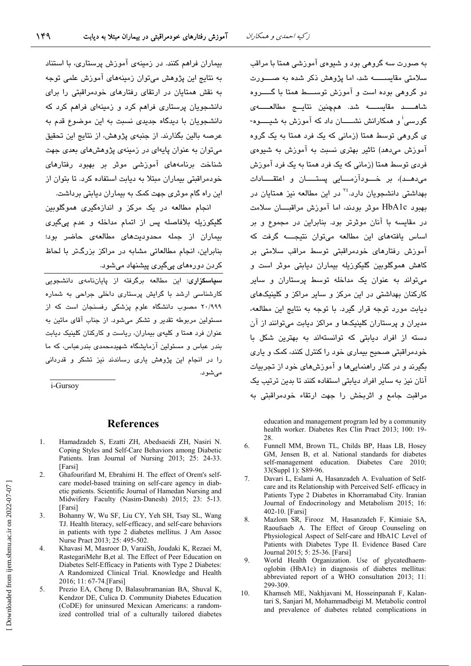به صورت سه گروهی بود و شیوهی آموزشی همتا با مراقب سلامتی مقایســــــه شد، اما پژوهش ذکر شده به صـــــورت دو گروهی بوده است و آموزش توســـط همتا با گــــروه شاهــــد مقايســــه شد. همچنين نتايـــج مطالعـــــهي گورسی<sup>:</sup> و همکارانش نشـــــان داد که آموزش به شیـــــوه-ی گروهی توسط همتا (زمانی که یک فرد همتا به یک گروه آموزش میدهد) تاثیر بهتری نسبت به آموزش به شیوهی فردی توسط همتا (زمانی که یک فرد همتا به یک فرد آموزش می دهـد)، در خــودآزمــایی پستـــان و اعتقـــادات بهداشتی دانشجویان دارد.<sup>۲٤</sup> در این مطالعه نیز همتایان در بهبود HbA1c موثر بودند، اما آموزش مراقبــــان سلامت در مقاسیه یا آنان موثرتر بود. بنابراین در مجموع و بر اساس یافتههای این مطالعه می توان نتیجـــه گرفت که آموزش رفتارهای خودمراقبتی توسط مراقب سلامتی بر ۔<br>کاهش هموگلویین گلیکوزیله بیماران دیابتے موش است و می تواند به عنوان یک مداخله توسط پرستاران و سایر کارکنان بهداشتی در این مرکز و سایر مراکز و کلینیکهای دبابت مورد توجه قرار گیرد. با توجه به نتایج این مطالعه، مدیران و پرستاران کلینیکها و مراکز دیابت میتوانند از آن دسته از افراد دیابتی که توانستهاند به بهترین شکل با خودمراقبتی صحیح بیماری خود را کنترل کنند، کمک و پاری بگیرند و در کنار راهنماییها و آموزشهای خود از تجربیات آنان نیز به سایر افراد دیابتی استفاده کنند تا بدین ترتیب یک مراقبت جامع و اثربخش را جهت ارتقاء خودمراقبتی به

education and management program led by a community health worker. Diabetes Res Clin Pract 2013: 100: 19-28

- Funnell MM, Brown TL, Childs BP, Haas LB, Hosey 6. GM, Jensen B, et al. National standards for diabetes self-management education. Diabetes Care 2010; 33(Suppl 1): S89-96.
- 7. Davari L, Eslami A, Hasanzadeh A. Evaluation of Selfcare and its Relationship with Perceived Self- efficacy in Patients Type 2 Diabetes in Khorramabad City. Iranian Journal of Endocrinology and Metabolism 2015; 16: 402-10. [Farsi]
- Mazlom SR, Firooz M, Hasanzadeh F, Kimiaie SA,  $\mathsf{R}$ Raoufsaeb A. The Effect of Group Counseling on Physiological Aspect of Self-care and HbA1C Level of Patients with Diabetes Type II. Evidence Based Care Journal 2015; 5: 25-36. [Farsi]
- $\mathbf Q$ World Health Organization. Use of glycatedhaemoglobin (HbA1c) in diagnosis of diabetes mellitus: abbreviated report of a WHO consultation 2013; 11: 299-309.
- $10<sup>1</sup>$ Khamseh ME, Nakhjavani M, Hosseinpanah F, Kalantari S, Sanjari M, Mohammadbeigi M. Metabolic control and prevalence of diabetes related complications in

بیماران فراهم کنند. در زمینهی آموزش پرستاری، با استناد به نتایج این پژوهش میتوان زمینههای آموزش علمی توحه به نقش همتابان در ارتقای رفتارهای خودمراقبتی را برای دانشجویان پرستاری فراهم کرد و زمینهای فراهم کرد که دانشجویان با دیدگاه جدیدی نسبت به این موضوع قدم به عرصه بالين بگذارند. از جنبهي پژوهش، از نتايج اين تحقيق میتوان به عنوان پایهای در زمینهی پژوهشهای بعدی جهت شناخت برنامههای آموزشی موثر بر بهبود رفتارهای خودمراقیتی بیماران میتلا به دیایت استفاده کرد. تا پتوان از این راه گام موثری جهت کمک به بیماران دیابتی برداشت.

انجام مطالعه در یک مرکز و اندازهگیر*ی* هموگلوبین گلیکوزیله بلافاصله پس از اتمام مداخله و عدم ی*ی گری* بیماران از جمله محدودیتهای مطالعهی حاضر بود؛ بنابراین، انجام مطالعاتی مشابه در مراکز بزرگتر با لحاظ کردن دورهها*ی* پیگیر*ی* پیشنهاد میشود.

<mark>سیاسگزاری</mark>: این مطالعه برگرفته از پایاننامهی دانشجویی کارشناسی ارشد با گرایش پرستار*ی* داخلی جراحی به شماره ۲۰/۹۹۹ مصوب دانشگاه علوم پزشکی رفسنجان است که از مسئولین مربوطه تقدیر و تشکر میشود. از جناب آقای مائین به عنوان فرد همتا و کلیهی بیماران، ریاست و کارکنان کلینیک دیابت بندر عباس و مسئولین آنمایشگاه شهیدمجمدی بندرعباس، که ما را در انجام این پژوهش یاری رساندند نیز تشکر و قدردانی مے شوں.

i-Gursoy

#### **References**

- Hamadzadeh S. Ezatti ZH. Abedsaeidi ZH. Nasiri N.  $\mathbf{1}$ Coping Styles and Self-Care Behaviors among Diabetic Patients. Iran Journal of Nursing 2013; 25: 24-33. [Farsi]
- Ghafourifard M, Ebrahimi H. The effect of Orem's self- $\mathfrak{D}$ care model-based training on self-care agency in diabetic patients. Scientific Journal of Hamedan Nursing and Midwifery Faculty (Nasim-Danesh) 2015; 23: 5-13. [Farsi]
- Bohanny W, Wu SF, Liu CY, Yeh SH, Tsay SL, Wang  $\overline{3}$ . TJ. Health literacy, self-efficacy, and self-care behaviors in patients with type 2 diabetes mellitus. J Am Assoc Nurse Pract 2013; 25: 495-502.
- $\overline{4}$ Khavasi M, Masroor D, VaraiSh, Joudaki K, Rezaei M, RastegariMehr B,et al. The Effect of Peer Education on Diabetes Self-Efficacy in Patients with Type 2 Diabetes: A Randomized Clinical Trial. Knowledge and Health 2016; 11: 67-74.[Farsi]
- 5. Prezio EA, Cheng D, Balasubramanian BA, Shuval K, Kendzor DE, Culica D. Community Diabetes Education (CoDE) for uninsured Mexican Americans: a randomized controlled trial of a culturally tailored diabetes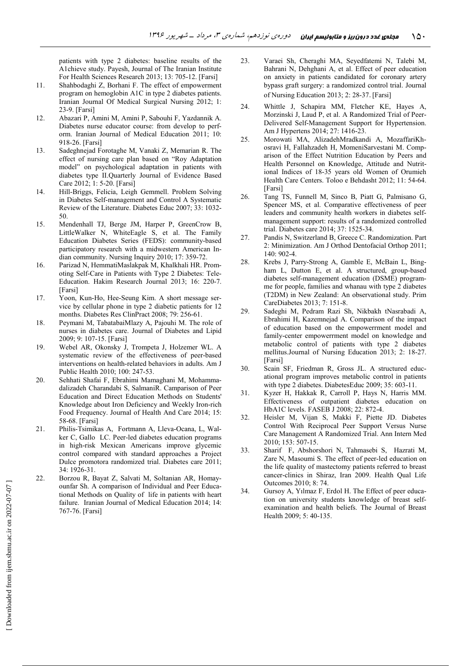patients with type 2 diabetes: baseline results of the A1chieve study. Payesh, Journal of The Iranian Institute For Health Sciences Research 2013; 13: 705-12. [Farsi]

- 11. Shahbodaghi Z, Borhani F. The effect of empowerment program on hemoglobin A1C in type 2 diabetes patients. Iranian Journal Of Medical Surgical Nursing 2012; 1: 23-9. [Farsi]
- 12. Abazari P, Amini M, Amini P, Sabouhi F, Yazdannik A. Diabetes nurse educator course: from develop to perform. Iranian Journal of Medical Education 2011; 10: 918-26. [Farsi]
- 13. Sadeghnejad Forotaghe M, Vanaki Z, Memarian R. The effect of nursing care plan based on "Roy Adaptation model" on psychological adaptation in patients with diabetes type II.Quarterly Journal of Evidence Based Care 2012; 1: 5-20. [Farsi]
- 14. Hill-Briggs, Felicia, Leigh Gemmell. Problem Solving in Diabetes Self-management and Control A Systematic Review of the Literature. Diabetes Educ 2007; 33: 1032- 50.
- 15. Mendenhall TJ, Berge JM, Harper P, GreenCrow B, LittleWalker N, WhiteEagle S, et al. The Family Education Diabetes Series (FEDS): community-based participatory research with a midwestern American Indian community. Nursing Inquiry 2010; 17: 359-72.
- 16. Parizad N, HemmatiMaslakpak M, Khalkhali HR. Promoting Self-Care in Patients with Type 2 Diabetes: Tele-Education. Hakim Research Journal 2013; 16: 220-7. [Farsi]
- 17. Yoon, Kun-Ho, Hee-Seung Kim. A short message service by cellular phone in type 2 diabetic patients for 12 months. Diabetes Res ClinPract 2008; 79: 256-61.
- 18. Peymani M, TabatabaiMlazy A, Pajouhi M. The role of nurses in diabetes care. Journal of Diabetes and Lipid 2009; 9: 107-15. [Farsi]
- 19. Webel AR, Okonsky J, Trompeta J, Holzemer WL. A systematic review of the effectiveness of peer-based interventions on health-related behaviors in adults. Am J Public Health 2010; 100: 247-53.
- 20. Sehhati Shafai F, Ebrahimi Mamaghani M, Mohammadalizadeh Charandabi S, SalmaniR. Camparison of Peer Education and Direct Education Methods on Students' Knowledge about Iron Deficiency and Weekly Iron-rich Food Frequency. Journal of Health And Care 2014; 15: 58-68. [Farsi]
- 21. Philis-Tsimikas A, Fortmann A, Lleva-Ocana, L, Walker C, Gallo LC. Peer-led diabetes education programs in high-risk Mexican Americans improve glycemic control compared with standard approaches a Project Dulce promotora randomized trial. Diabetes care 2011; 34: 1926-31.
- 22. Borzou R, Bayat Z, Salvati M, Soltanian AR, Homayounfar Sh. A comparison of Individual and Peer Educational Methods on Quality of life in patients with heart failure. Iranian Journal of Medical Education 2014; 14: 767-76. [Farsi]
- 23. Varaei Sh, Cheraghi MA, Seyedfatemi N, Talebi M, Bahrani N, Dehghani A, et al. Effect of peer education on anxiety in patients candidated for coronary artery bypass graft surgery: a randomized control trial. Journal of Nursing Education 2013; 2: 28-37. [Farsi]
- 24. Whittle J, Schapira MM, Fletcher KE, Hayes A, Morzinski J, Laud P, et al. A Randomized Trial of Peer-Delivered Self-Management Support for Hypertension. Am J Hypertens 2014; 27: 1416-23.
- 25. Morowati MA, AlizadehMradkandi A, MozaffariKhosravi H, Fallahzadeh H, MomeniSarvestani M. Comparison of the Effect Nutrition Education by Peers and Health Personnel on Knowledge, Attitude and Nutritional Indices of 18-35 years old Women of Orumieh Health Care Centers. Toloo e Behdasht 2012; 11: 54-64. [Farsi]
- 26. Tang TS, Funnell M, Sinco B, Piatt G, Palmisano G, Spencer MS, et al. Comparative effectiveness of peer leaders and community health workers in diabetes selfmanagement support: results of a randomized controlled trial. Diabetes care 2014; 37: 1525-34.
- 27. Pandis N, Switzerland B, Greece C. Randomization. Part 2: Minimization. Am J Orthod Dentofacial Orthop 2011; 140: 902-4.
- 28. Krebs J, Parry-Strong A, Gamble E, McBain L, Bingham L, Dutton E, et al. A structured, group-based diabetes self-management education (DSME) programme for people, families and whanau with type 2 diabetes (T2DM) in New Zealand: An observational study. Prim CareDiabetes 2013; 7: 151-8.
- 29. Sadeghi M, Pedram Razi Sh, Nikbakh tNasrabadi A, Ebrahimi H, Kazemnejad A. Comparison of the impact of education based on the empowerrment model and family-center empowerrment model on knowledge and metabolic control of patients with type 2 diabetes mellitus.Journal of Nursing Education 2013; 2: 18-27. [Farsi]
- 30. Scain SF, Friedman R, Gross JL. A structured educational program improves metabolic control in patients with type 2 diabetes. DiabetesEduc 2009; 35: 603-11.
- 31. Kyzer H, Hakkak R, Carroll P, Hays N, Harris MM. Effectiveness of outpatient diabetes education on HbA1C levels. FASEB J 2008; 22: 872-4.
- 32. Heisler M, Vijan S, Makki F, Piette JD. Diabetes Control With Reciprocal Peer Support Versus Nurse Care Management A Randomized Trial. Ann Intern Med 2010; 153: 507-15.
- 33. Sharif F, Abshorshori N, Tahmasebi S, Hazrati M, Zare N, Masoumi S. The effect of peer-led education on the life quality of mastectomy patients referred to breast cancer-clinics in Shiraz, Iran 2009. Health Qual Life Outcomes 2010; 8: 74.
- 34. Gursoy A, Yılmaz F, Erdol H. The Effect of peer education on university students knowledge of breast selfexamination and health beliefs. The Journal of Breast Health 2009; 5: 40-135.